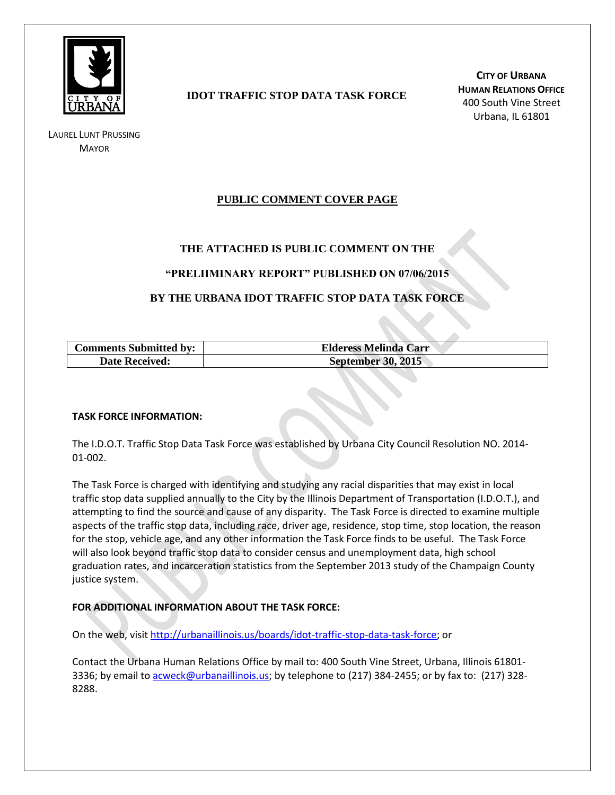

LAUREL LUNT PRUSSING **MAYOR** 

# **IDOT TRAFFIC STOP DATA TASK FORCE**

**CITY OF URBANA HUMAN RELATIONS OFFICE** 400 South Vine Street Urbana, IL 61801

## **PUBLIC COMMENT COVER PAGE**

## **THE ATTACHED IS PUBLIC COMMENT ON THE**

### **"PRELIIMINARY REPORT" PUBLISHED ON 07/06/2015**

## **BY THE URBANA IDOT TRAFFIC STOP DATA TASK FORCE**

| <b>Comments Submitted by:</b> | <b>Elderess Melinda Carr</b> |
|-------------------------------|------------------------------|
| <b>Date Received:</b>         | <b>September 30, 2015</b>    |

#### **TASK FORCE INFORMATION:**

The I.D.O.T. Traffic Stop Data Task Force was established by Urbana City Council Resolution NO. 2014- 01-002.

The Task Force is charged with identifying and studying any racial disparities that may exist in local traffic stop data supplied annually to the City by the Illinois Department of Transportation (I.D.O.T.), and attempting to find the source and cause of any disparity. The Task Force is directed to examine multiple aspects of the traffic stop data, including race, driver age, residence, stop time, stop location, the reason for the stop, vehicle age, and any other information the Task Force finds to be useful. The Task Force will also look beyond traffic stop data to consider census and unemployment data, high school graduation rates, and incarceration statistics from the September 2013 study of the Champaign County justice system.

#### **FOR ADDITIONAL INFORMATION ABOUT THE TASK FORCE:**

On the web, visit [http://urbanaillinois.us/boards/idot-traffic-stop-data-task-force;](http://urbanaillinois.us/boards/idot-traffic-stop-data-task-force) or

Contact the Urbana Human Relations Office by mail to: 400 South Vine Street, Urbana, Illinois 61801 3336; by email to [acweck@urbanaillinois.us;](mailto:acweck@urbanaillinois.us) by telephone to (217) 384-2455; or by fax to: (217) 328-8288.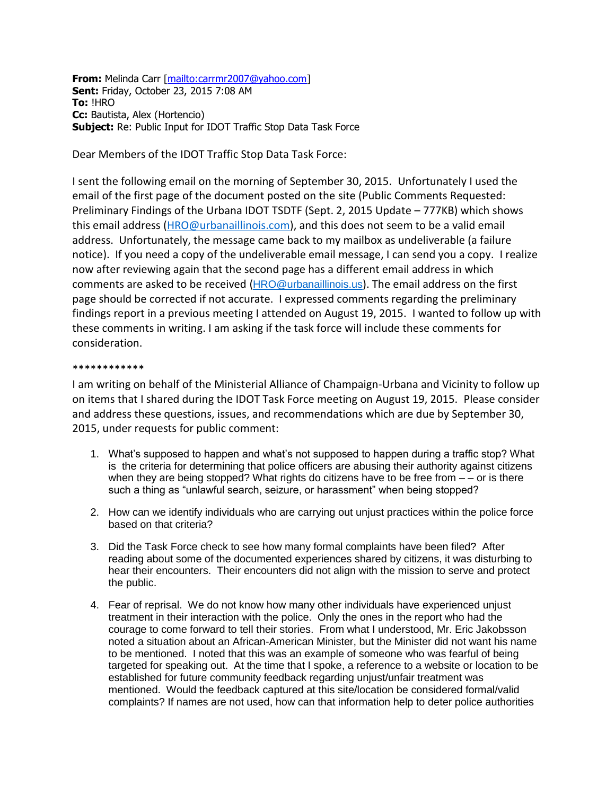**From:** Melinda Carr [\[mailto:carrmr2007@yahoo.com\]](mailto:carrmr2007@yahoo.com) **Sent:** Friday, October 23, 2015 7:08 AM **To:** !HRO **Cc:** Bautista, Alex (Hortencio) **Subject:** Re: Public Input for IDOT Traffic Stop Data Task Force

Dear Members of the IDOT Traffic Stop Data Task Force:

I sent the following email on the morning of September 30, 2015. Unfortunately I used the email of the first page of the document posted on the site (Public Comments Requested: Preliminary Findings of the Urbana IDOT TSDTF (Sept. 2, 2015 Update – 777KB) which shows this email address [\(HRO@urbanaillinois.com\)](mailto:HRO@urbanaillinois.com), and this does not seem to be a valid email address. Unfortunately, the message came back to my mailbox as undeliverable (a failure notice). If you need a copy of the undeliverable email message, I can send you a copy. I realize now after reviewing again that the second page has a different email address in which comments are asked to be received ([HRO@urbanaillinois.us](mailto:HRO@urbanaillinois.us)). The email address on the first page should be corrected if not accurate. I expressed comments regarding the preliminary findings report in a previous meeting I attended on August 19, 2015. I wanted to follow up with these comments in writing. I am asking if the task force will include these comments for consideration.

#### \*\*\*\*\*\*\*\*\*\*\*\*

I am writing on behalf of the Ministerial Alliance of Champaign-Urbana and Vicinity to follow up on items that I shared during the IDOT Task Force meeting on August 19, 2015. Please consider and address these questions, issues, and recommendations which are due by September 30, 2015, under requests for public comment:

- 1. What's supposed to happen and what's not supposed to happen during a traffic stop? What is the criteria for determining that police officers are abusing their authority against citizens when they are being stopped? What rights do citizens have to be free from  $-$  – or is there such a thing as "unlawful search, seizure, or harassment" when being stopped?
- 2. How can we identify individuals who are carrying out unjust practices within the police force based on that criteria?
- 3. Did the Task Force check to see how many formal complaints have been filed? After reading about some of the documented experiences shared by citizens, it was disturbing to hear their encounters. Their encounters did not align with the mission to serve and protect the public.
- 4. Fear of reprisal. We do not know how many other individuals have experienced unjust treatment in their interaction with the police. Only the ones in the report who had the courage to come forward to tell their stories. From what I understood, Mr. Eric Jakobsson noted a situation about an African-American Minister, but the Minister did not want his name to be mentioned. I noted that this was an example of someone who was fearful of being targeted for speaking out. At the time that I spoke, a reference to a website or location to be established for future community feedback regarding unjust/unfair treatment was mentioned. Would the feedback captured at this site/location be considered formal/valid complaints? If names are not used, how can that information help to deter police authorities